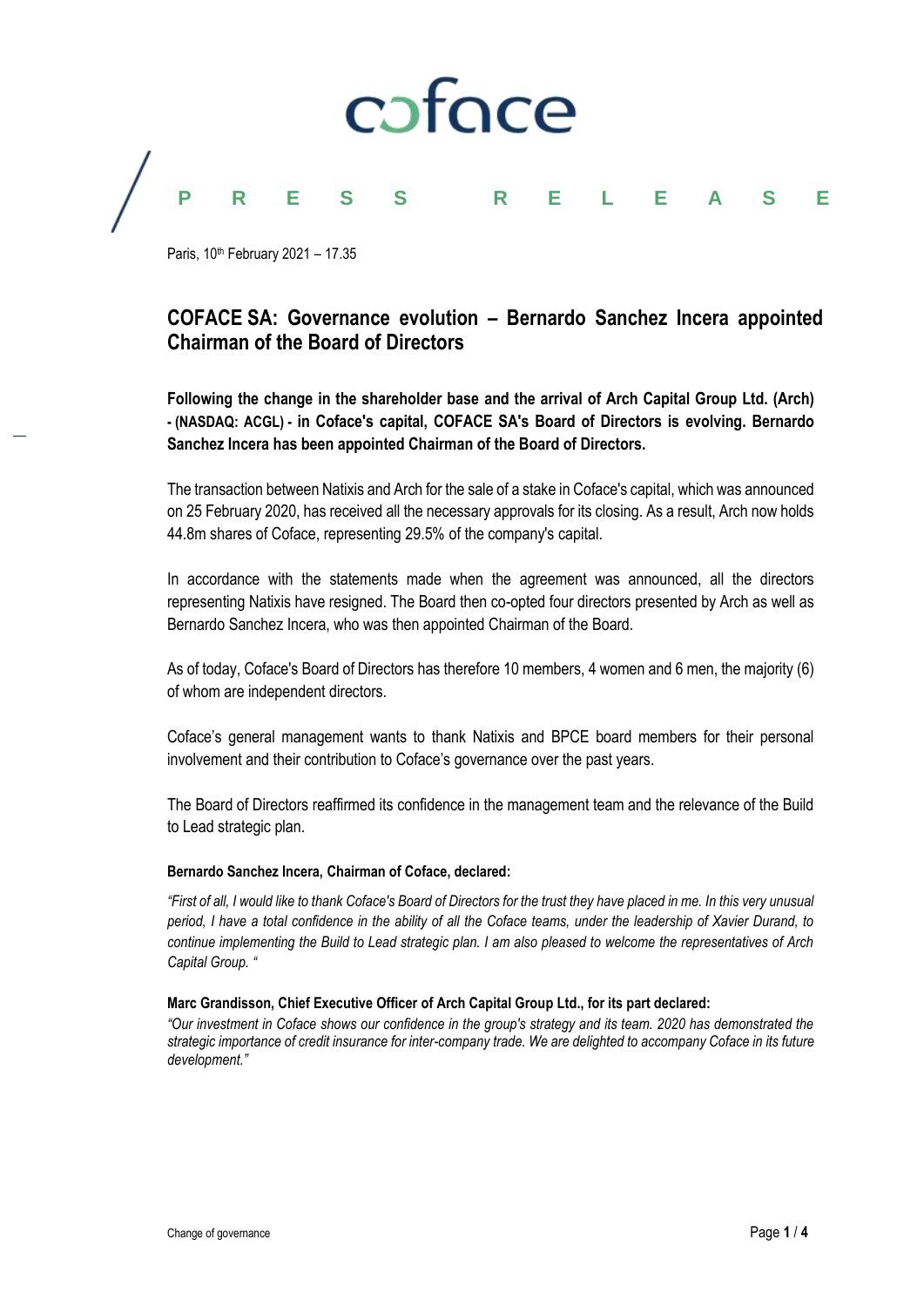

Paris, 10th February 2021 – 17.35

# **COFACE SA: Governance evolution – Bernardo Sanchez Incera appointed Chairman of the Board of Directors**

**Following the change in the shareholder base and the arrival of Arch Capital Group Ltd. (Arch) - (NASDAQ: ACGL) - in Coface's capital, COFACE SA's Board of Directors is evolving. Bernardo Sanchez Incera has been appointed Chairman of the Board of Directors.**

The transaction between Natixis and Arch for the sale of a stake in Coface's capital, which was announced on 25 February 2020, has received all the necessary approvals for its closing. As a result, Arch now holds 44.8m shares of Coface, representing 29.5% of the company's capital.

In accordance with the statements made when the agreement was announced, all the directors representing Natixis have resigned. The Board then co-opted four directors presented by Arch as well as Bernardo Sanchez Incera, who was then appointed Chairman of the Board.

As of today, Coface's Board of Directors has therefore 10 members, 4 women and 6 men, the majority (6) of whom are independent directors.

Coface's general management wants to thank Natixis and BPCE board members for their personal involvement and their contribution to Coface's governance over the past years.

The Board of Directors reaffirmed its confidence in the management team and the relevance of the Build to Lead strategic plan.

# **Bernardo Sanchez Incera, Chairman of Coface, declared:**

*"First of all, I would like to thank Coface's Board of Directors for the trust they have placed in me. In this very unusual period, I have a total confidence in the ability of all the Coface teams, under the leadership of Xavier Durand, to continue implementing the Build to Lead strategic plan. I am also pleased to welcome the representatives of Arch Capital Group. "*

# **Marc Grandisson, Chief Executive Officer of Arch Capital Group Ltd., for its part declared:**

*"Our investment in Coface shows our confidence in the group's strategy and its team. 2020 has demonstrated the strategic importance of credit insurance for inter-company trade. We are delighted to accompany Coface in its future development."*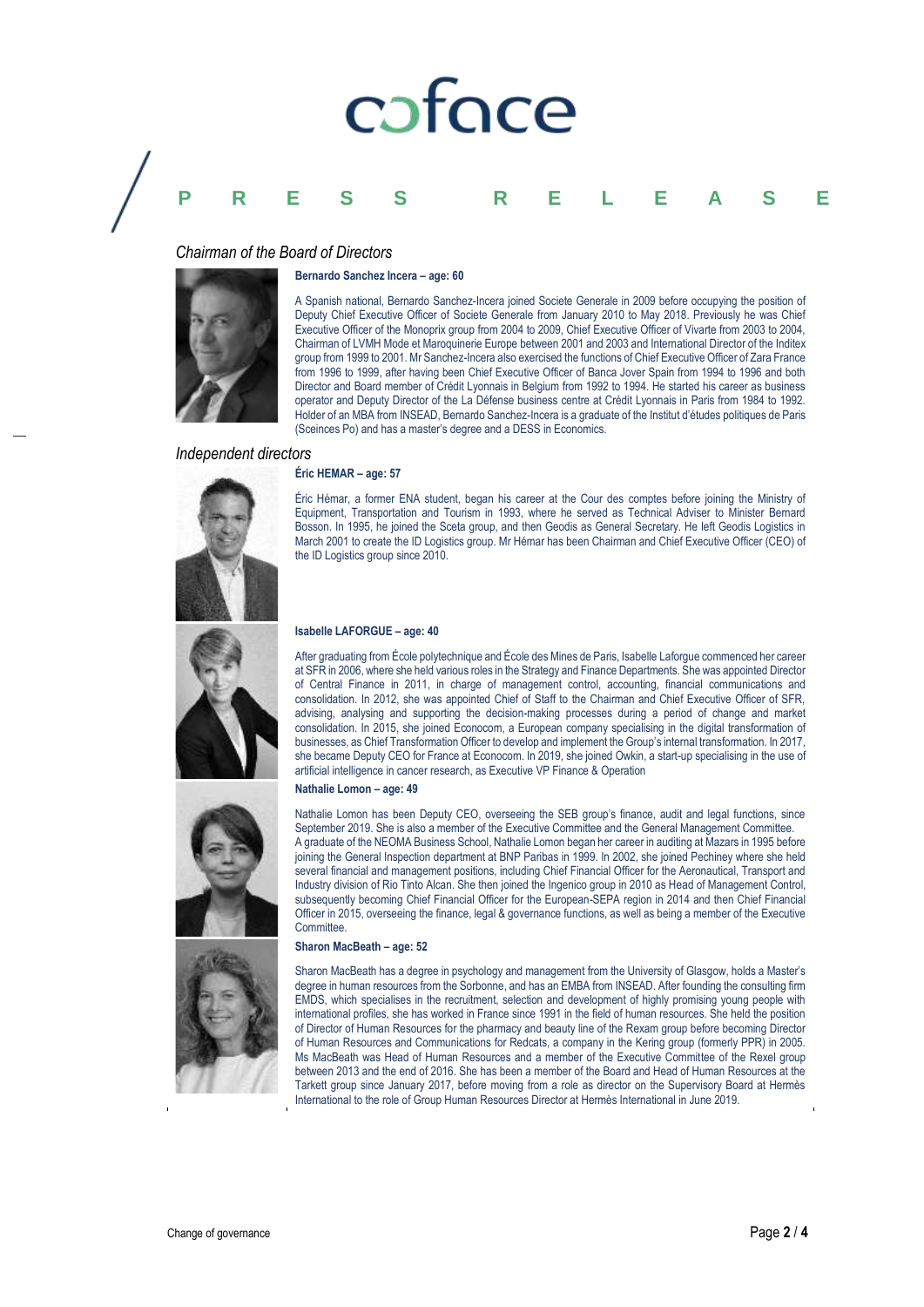# coface

# **PRESS RELEASE**

# *Chairman of the Board of Directors*

#### **Bernardo Sanchez Incera – age: 60**



A Spanish national, Bernardo Sanchez-Incera joined Societe Generale in 2009 before occupying the position of Deputy Chief Executive Officer of Societe Generale from January 2010 to May 2018. Previously he was Chief Executive Officer of the Monoprix group from 2004 to 2009, Chief Executive Officer of Vivarte from 2003 to 2004, Chairman of LVMH Mode et Maroquinerie Europe between 2001 and 2003 and International Director of the Inditex group from 1999 to 2001. Mr Sanchez-Incera also exercised the functions of Chief Executive Officer of Zara France from 1996 to 1999, after having been Chief Executive Officer of Banca Jover Spain from 1994 to 1996 and both Director and Board member of Crédit Lyonnais in Belgium from 1992 to 1994. He started his career as business operator and Deputy Director of the La Défense business centre at Crédit Lyonnais in Paris from 1984 to 1992. Holder of an MBA from INSEAD, Bernardo Sanchez-Incera is a graduate of the Institut d'études politiques de Paris (Sceinces Po) and has a master's degree and a DESS in Economics.

## *Independent directors*

#### **Éric HEMAR – age: 57**



Éric Hémar, a former ENA student, began his career at the Cour des comptes before joining the Ministry of Equipment, Transportation and Tourism in 1993, where he served as Technical Adviser to Minister Bernard Bosson. In 1995, he joined the Sceta group, and then Geodis as General Secretary. He left Geodis Logistics in March 2001 to create the ID Logistics group. Mr Hémar has been Chairman and Chief Executive Officer (CEO) of the ID Logistics group since 2010.

# **Isabelle LAFORGUE – age: 40**

After graduating from École polytechnique and École des Mines de Paris, Isabelle Laforgue commenced her career at SFR in 2006, where she held various roles in the Strategy and Finance Departments. She was appointed Director of Central Finance in 2011, in charge of management control, accounting, financial communications and consolidation. In 2012, she was appointed Chief of Staff to the Chairman and Chief Executive Officer of SFR, advising, analysing and supporting the decision-making processes during a period of change and market consolidation. In 2015, she joined Econocom, a European company specialising in the digital transformation of businesses, as Chief Transformation Officer to develop and implement the Group's internal transformation. In 2017, she became Deputy CEO for France at Econocom. In 2019, she joined Owkin, a start-up specialising in the use of artificial intelligence in cancer research, as Executive VP Finance & Operation

#### **Nathalie Lomon – age: 49**

Nathalie Lomon has been Deputy CEO, overseeing the SEB group's finance, audit and legal functions, since September 2019. She is also a member of the Executive Committee and the General Management Committee. A graduate of the NEOMA Business School, Nathalie Lomon began her career in auditing at Mazars in 1995 before joining the General Inspection department at BNP Paribas in 1999. In 2002, she joined Pechiney where she held several financial and management positions, including Chief Financial Officer for the Aeronautical, Transport and Industry division of Rio Tinto Alcan. She then joined the Ingenico group in 2010 as Head of Management Control, subsequently becoming Chief Financial Officer for the European-SEPA region in 2014 and then Chief Financial Officer in 2015, overseeing the finance, legal & governance functions, as well as being a member of the Executive Committee.

#### **Sharon MacBeath – age: 52**

Sharon MacBeath has a degree in psychology and management from the University of Glasgow, holds a Master's degree in human resources from the Sorbonne, and has an EMBA from INSEAD. After founding the consulting firm EMDS, which specialises in the recruitment, selection and development of highly promising young people with international profiles, she has worked in France since 1991 in the field of human resources. She held the position of Director of Human Resources for the pharmacy and beauty line of the Rexam group before becoming Director of Human Resources and Communications for Redcats, a company in the Kering group (formerly PPR) in 2005. Ms MacBeath was Head of Human Resources and a member of the Executive Committee of the Rexel group between 2013 and the end of 2016. She has been a member of the Board and Head of Human Resources at the Tarkett group since January 2017, before moving from a role as director on the Supervisory Board at Hermès International to the role of Group Human Resources Director at Hermès International in June 2019.



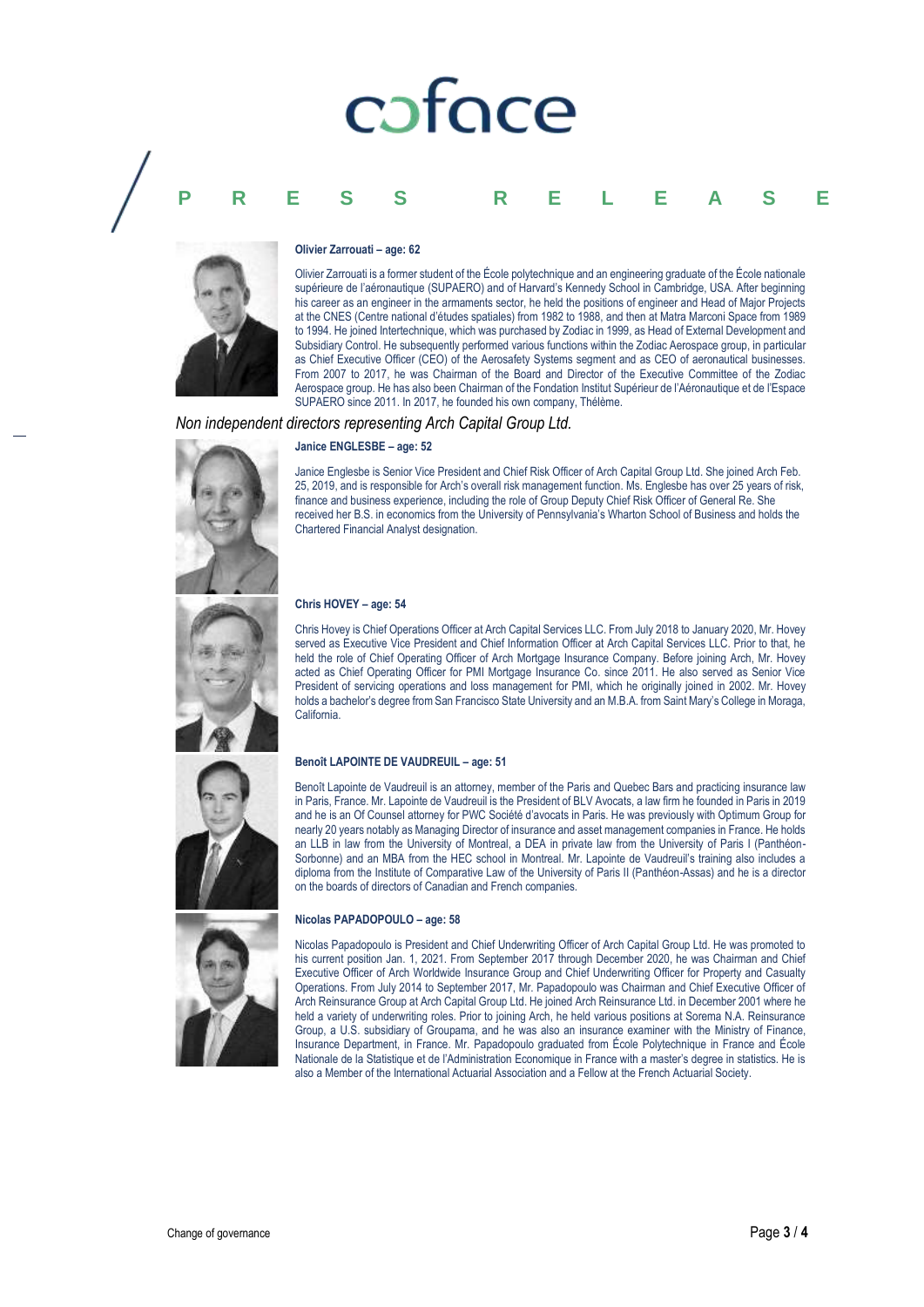# poface

# **PRESS RELEASE**



#### **Olivier Zarrouati – age: 62**

Olivier Zarrouati is a former student of the École polytechnique and an engineering graduate of the École nationale supérieure de l'aéronautique (SUPAERO) and of Harvard's Kennedy School in Cambridge, USA. After beginning his career as an engineer in the armaments sector, he held the positions of engineer and Head of Major Projects at the CNES (Centre national d'études spatiales) from 1982 to 1988, and then at Matra Marconi Space from 1989 to 1994. He joined Intertechnique, which was purchased by Zodiac in 1999, as Head of External Development and Subsidiary Control. He subsequently performed various functions within the Zodiac Aerospace group, in particular as Chief Executive Officer (CEO) of the Aerosafety Systems segment and as CEO of aeronautical businesses. From 2007 to 2017, he was Chairman of the Board and Director of the Executive Committee of the Zodiac Aerospace group. He has also been Chairman of the Fondation Institut Supérieur de l'Aéronautique et de l'Espace SUPAERO since 2011. In 2017, he founded his own company, Thélème.

#### *Non independent directors representing Arch Capital Group Ltd.*

#### **Janice ENGLESBE – age: 52**

Janice Englesbe is Senior Vice President and Chief Risk Officer of Arch Capital Group Ltd. She joined Arch Feb. 25, 2019, and is responsible for Arch's overall risk management function. Ms. Englesbe has over 25 years of risk, finance and business experience, including the role of Group Deputy Chief Risk Officer of General Re. She received her B.S. in economics from the University of Pennsylvania's Wharton School of Business and holds the Chartered Financial Analyst designation.

#### **Chris HOVEY – age: 54**

Chris Hovey is Chief Operations Officer at Arch Capital Services LLC. From July 2018 to January 2020, Mr. Hovey served as Executive Vice President and Chief Information Officer at Arch Capital Services LLC. Prior to that, he held the role of Chief Operating Officer of Arch Mortgage Insurance Company. Before joining Arch, Mr. Hovey acted as Chief Operating Officer for PMI Mortgage Insurance Co. since 2011. He also served as Senior Vice President of servicing operations and loss management for PMI, which he originally joined in 2002. Mr. Hovey holds a bachelor's degree from San Francisco State University and an M.B.A. from Saint Mary's College in Moraga, California.

#### **Benoît LAPOINTE DE VAUDREUIL – age: 51**

Benoît Lapointe de Vaudreuil is an attorney, member of the Paris and Quebec Bars and practicing insurance law in Paris, France. Mr. Lapointe de Vaudreuil is the President of BLV Avocats, a law firm he founded in Paris in 2019 and he is an Of Counsel attorney for PWC Société d'avocats in Paris. He was previously with Optimum Group for nearly 20 years notably as Managing Director of insurance and asset management companies in France. He holds an LLB in law from the University of Montreal, a DEA in private law from the University of Paris I (Panthéon-Sorbonne) and an MBA from the HEC school in Montreal. Mr. Lapointe de Vaudreuil's training also includes a diploma from the Institute of Comparative Law of the University of Paris II (Panthéon-Assas) and he is a director on the boards of directors of Canadian and French companies.

#### **Nicolas PAPADOPOULO – age: 58**

Nicolas Papadopoulo is President and Chief Underwriting Officer of Arch Capital Group Ltd. He was promoted to his current position Jan. 1, 2021. From September 2017 through December 2020, he was Chairman and Chief Executive Officer of Arch Worldwide Insurance Group and Chief Underwriting Officer for Property and Casualty Operations. From July 2014 to September 2017, Mr. Papadopoulo was Chairman and Chief Executive Officer of Arch Reinsurance Group at Arch Capital Group Ltd. He joined Arch Reinsurance Ltd. in December 2001 where he held a variety of underwriting roles. Prior to joining Arch, he held various positions at Sorema N.A. Reinsurance Group, a U.S. subsidiary of Groupama, and he was also an insurance examiner with the Ministry of Finance, Insurance Department, in France. Mr. Papadopoulo graduated from École Polytechnique in France and École Nationale de la Statistique et de l'Administration Economique in France with a master's degree in statistics. He is also a Member of the International Actuarial Association and a Fellow at the French Actuarial Society.